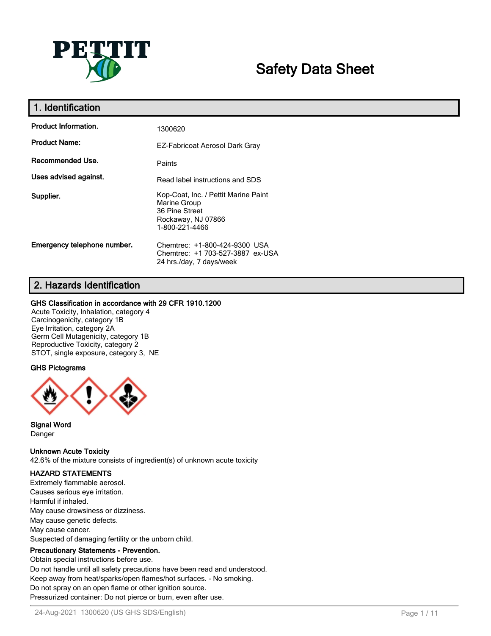

# **Safety Data Sheet**

| 1. Identification           |                                                                                                                |
|-----------------------------|----------------------------------------------------------------------------------------------------------------|
| <b>Product Information.</b> | 1300620                                                                                                        |
| <b>Product Name:</b>        | EZ-Fabricoat Aerosol Dark Gray                                                                                 |
| Recommended Use.            | Paints                                                                                                         |
| Uses advised against.       | Read label instructions and SDS                                                                                |
| Supplier.                   | Kop-Coat, Inc. / Pettit Marine Paint<br>Marine Group<br>36 Pine Street<br>Rockaway, NJ 07866<br>1-800-221-4466 |
| Emergency telephone number. | Chemtrec: +1-800-424-9300 USA<br>Chemtrec: +1 703-527-3887 ex-USA<br>24 hrs./day, 7 days/week                  |

## **2. Hazards Identification**

#### **GHS Classification in accordance with 29 CFR 1910.1200**

Acute Toxicity, Inhalation, category 4 Carcinogenicity, category 1B Eye Irritation, category 2A Germ Cell Mutagenicity, category 1B Reproductive Toxicity, category 2 STOT, single exposure, category 3, NE

#### **GHS Pictograms**



**Signal Word** Danger

**Unknown Acute Toxicity**

42.6% of the mixture consists of ingredient(s) of unknown acute toxicity

### **HAZARD STATEMENTS**

Extremely flammable aerosol. Causes serious eye irritation. Harmful if inhaled. May cause drowsiness or dizziness. May cause genetic defects. May cause cancer. Suspected of damaging fertility or the unborn child.

### **Precautionary Statements - Prevention.**

Obtain special instructions before use. Do not handle until all safety precautions have been read and understood. Keep away from heat/sparks/open flames/hot surfaces. - No smoking. Do not spray on an open flame or other ignition source. Pressurized container: Do not pierce or burn, even after use.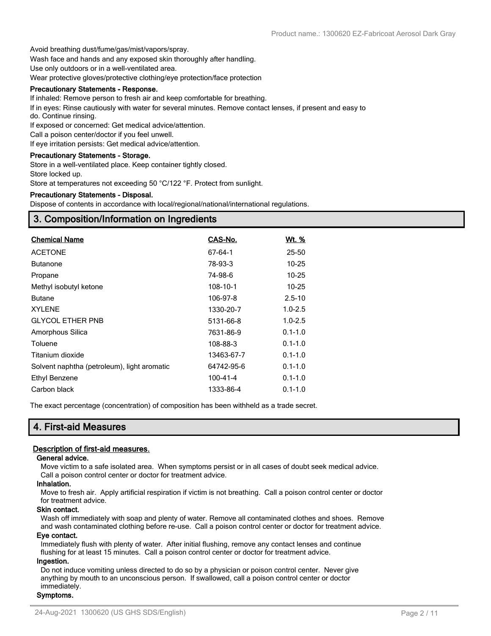Avoid breathing dust/fume/gas/mist/vapors/spray.

Wash face and hands and any exposed skin thoroughly after handling.

Use only outdoors or in a well-ventilated area.

Wear protective gloves/protective clothing/eye protection/face protection

#### **Precautionary Statements - Response.**

If inhaled: Remove person to fresh air and keep comfortable for breathing.

If in eyes: Rinse cautiously with water for several minutes. Remove contact lenses, if present and easy to do. Continue rinsing.

If exposed or concerned: Get medical advice/attention.

Call a poison center/doctor if you feel unwell.

If eye irritation persists: Get medical advice/attention.

#### **Precautionary Statements - Storage.**

Store in a well-ventilated place. Keep container tightly closed.

Store locked up.

Store at temperatures not exceeding 50 °C/122 °F. Protect from sunlight.

#### **Precautionary Statements - Disposal.**

Dispose of contents in accordance with local/regional/national/international regulations.

### **3. Composition/Information on Ingredients**

| <b>Chemical Name</b>                        | CAS-No.    | <u>Wt. %</u> |
|---------------------------------------------|------------|--------------|
| <b>ACETONE</b>                              | 67-64-1    | 25-50        |
| <b>Butanone</b>                             | 78-93-3    | $10 - 25$    |
| Propane                                     | 74-98-6    | $10 - 25$    |
| Methyl isobutyl ketone                      | 108-10-1   | $10 - 25$    |
| <b>Butane</b>                               | 106-97-8   | $2.5 - 10$   |
| <b>XYLENE</b>                               | 1330-20-7  | $1.0 - 2.5$  |
| <b>GLYCOL ETHER PNB</b>                     | 5131-66-8  | $1.0 - 2.5$  |
| Amorphous Silica                            | 7631-86-9  | $0.1 - 1.0$  |
| Toluene                                     | 108-88-3   | $0.1 - 1.0$  |
| Titanium dioxide                            | 13463-67-7 | $0.1 - 1.0$  |
| Solvent naphtha (petroleum), light aromatic | 64742-95-6 | $0.1 - 1.0$  |
| Ethyl Benzene                               | 100-41-4   | $0.1 - 1.0$  |
| Carbon black                                | 1333-86-4  | $0.1 - 1.0$  |

The exact percentage (concentration) of composition has been withheld as a trade secret.

### **4. First-aid Measures**

#### **Description of first-aid measures.**

#### **General advice.**

Move victim to a safe isolated area. When symptoms persist or in all cases of doubt seek medical advice. Call a poison control center or doctor for treatment advice.

#### **Inhalation.**

Move to fresh air. Apply artificial respiration if victim is not breathing. Call a poison control center or doctor for treatment advice.

#### **Skin contact.**

Wash off immediately with soap and plenty of water. Remove all contaminated clothes and shoes. Remove and wash contaminated clothing before re-use. Call a poison control center or doctor for treatment advice.

#### **Eye contact.**

Immediately flush with plenty of water. After initial flushing, remove any contact lenses and continue flushing for at least 15 minutes. Call a poison control center or doctor for treatment advice.

#### **Ingestion.**

Do not induce vomiting unless directed to do so by a physician or poison control center. Never give anything by mouth to an unconscious person. If swallowed, call a poison control center or doctor immediately.

#### **Symptoms.**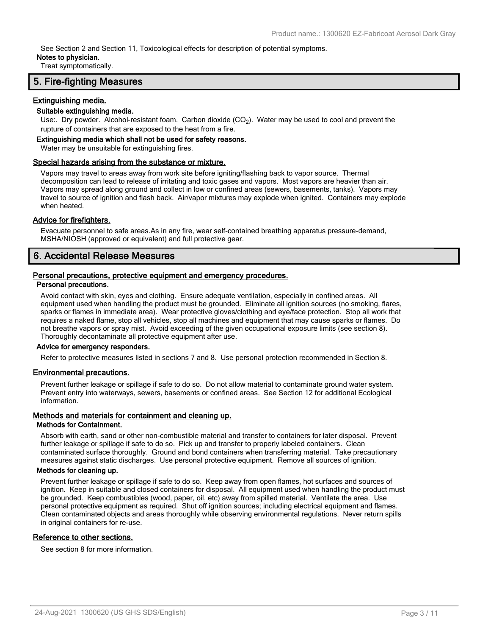See Section 2 and Section 11, Toxicological effects for description of potential symptoms.

#### **Notes to physician.**

Treat symptomatically.

### **5. Fire-fighting Measures**

#### **Extinguishing media.**

#### **Suitable extinguishing media.**

Use:. Dry powder. Alcohol-resistant foam. Carbon dioxide (CO<sub>2</sub>). Water may be used to cool and prevent the rupture of containers that are exposed to the heat from a fire.

#### **Extinguishing media which shall not be used for safety reasons.**

Water may be unsuitable for extinguishing fires.

#### **Special hazards arising from the substance or mixture.**

Vapors may travel to areas away from work site before igniting/flashing back to vapor source. Thermal decomposition can lead to release of irritating and toxic gases and vapors. Most vapors are heavier than air. Vapors may spread along ground and collect in low or confined areas (sewers, basements, tanks). Vapors may travel to source of ignition and flash back. Air/vapor mixtures may explode when ignited. Containers may explode when heated.

#### **Advice for firefighters.**

Evacuate personnel to safe areas.As in any fire, wear self-contained breathing apparatus pressure-demand, MSHA/NIOSH (approved or equivalent) and full protective gear.

### **6. Accidental Release Measures**

#### **Personal precautions, protective equipment and emergency procedures.**

#### **Personal precautions.**

Avoid contact with skin, eyes and clothing. Ensure adequate ventilation, especially in confined areas. All equipment used when handling the product must be grounded. Eliminate all ignition sources (no smoking, flares, sparks or flames in immediate area). Wear protective gloves/clothing and eye/face protection. Stop all work that requires a naked flame, stop all vehicles, stop all machines and equipment that may cause sparks or flames. Do not breathe vapors or spray mist. Avoid exceeding of the given occupational exposure limits (see section 8). Thoroughly decontaminate all protective equipment after use.

#### **Advice for emergency responders.**

Refer to protective measures listed in sections 7 and 8. Use personal protection recommended in Section 8.

#### **Environmental precautions.**

Prevent further leakage or spillage if safe to do so. Do not allow material to contaminate ground water system. Prevent entry into waterways, sewers, basements or confined areas. See Section 12 for additional Ecological information.

#### **Methods and materials for containment and cleaning up.**

#### **Methods for Containment.**

Absorb with earth, sand or other non-combustible material and transfer to containers for later disposal. Prevent further leakage or spillage if safe to do so. Pick up and transfer to properly labeled containers. Clean contaminated surface thoroughly. Ground and bond containers when transferring material. Take precautionary measures against static discharges. Use personal protective equipment. Remove all sources of ignition.

#### **Methods for cleaning up.**

Prevent further leakage or spillage if safe to do so. Keep away from open flames, hot surfaces and sources of ignition. Keep in suitable and closed containers for disposal. All equipment used when handling the product must be grounded. Keep combustibles (wood, paper, oil, etc) away from spilled material. Ventilate the area. Use personal protective equipment as required. Shut off ignition sources; including electrical equipment and flames. Clean contaminated objects and areas thoroughly while observing environmental regulations. Never return spills in original containers for re-use.

#### **Reference to other sections.**

See section 8 for more information.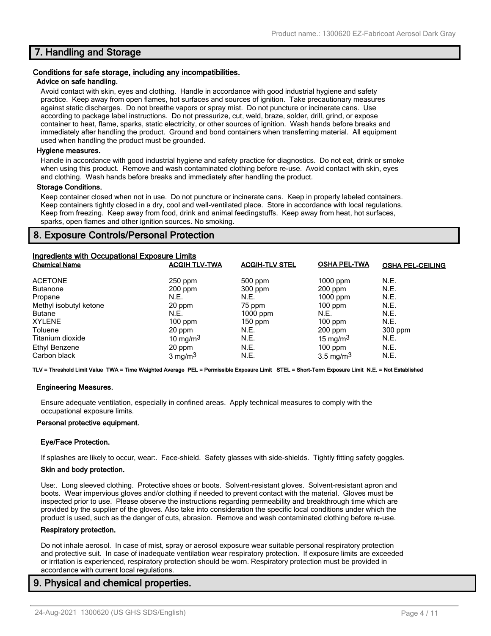### **7. Handling and Storage**

#### **Conditions for safe storage, including any incompatibilities.**

#### **Advice on safe handling.**

Avoid contact with skin, eyes and clothing. Handle in accordance with good industrial hygiene and safety practice. Keep away from open flames, hot surfaces and sources of ignition. Take precautionary measures against static discharges. Do not breathe vapors or spray mist. Do not puncture or incinerate cans. Use according to package label instructions. Do not pressurize, cut, weld, braze, solder, drill, grind, or expose container to heat, flame, sparks, static electricity, or other sources of ignition. Wash hands before breaks and immediately after handling the product. Ground and bond containers when transferring material. All equipment used when handling the product must be grounded.

#### **Hygiene measures.**

Handle in accordance with good industrial hygiene and safety practice for diagnostics. Do not eat, drink or smoke when using this product. Remove and wash contaminated clothing before re-use. Avoid contact with skin, eyes and clothing. Wash hands before breaks and immediately after handling the product.

#### **Storage Conditions.**

Keep container closed when not in use. Do not puncture or incinerate cans. Keep in properly labeled containers. Keep containers tightly closed in a dry, cool and well-ventilated place. Store in accordance with local regulations. Keep from freezing. Keep away from food, drink and animal feedingstuffs. Keep away from heat, hot surfaces, sparks, open flames and other ignition sources. No smoking.

### **8. Exposure Controls/Personal Protection**

| Ingredients with Occupational Exposure Limits |                      |                       |                      |                         |
|-----------------------------------------------|----------------------|-----------------------|----------------------|-------------------------|
| <b>Chemical Name</b>                          | <b>ACGIH TLV-TWA</b> | <b>ACGIH-TLV STEL</b> | <b>OSHA PEL-TWA</b>  | <b>OSHA PEL-CEILING</b> |
| <b>ACETONE</b>                                | $250$ ppm            | $500$ ppm             | $1000$ ppm           | N.E.                    |
| <b>Butanone</b>                               | $200$ ppm            | $300$ ppm             | $200$ ppm            | N.E.                    |
| Propane                                       | N.E.                 | N.E.                  | $1000$ ppm           | N.E.                    |
| Methyl isobutyl ketone                        | 20 ppm               | 75 ppm                | $100$ ppm            | N.E.                    |
| <b>Butane</b>                                 | N.E.                 | $1000$ ppm            | N.E.                 | N.E.                    |
| <b>XYLENE</b>                                 | $100$ ppm            | $150$ ppm             | $100$ ppm            | N.E.                    |
| Toluene                                       | 20 ppm               | N.E.                  | $200$ ppm            | 300 ppm                 |
| Titanium dioxide                              | 10 mg/m $3$          | N.E.                  | 15 mg/m $3$          | N.E.                    |
| Ethyl Benzene                                 | 20 ppm               | N.E.                  | $100$ ppm            | N.E.                    |
| Carbon black                                  | $3 \text{ mg/m}^3$   | N.E.                  | $3.5 \text{ mg/m}^3$ | N.E.                    |

**TLV = Threshold Limit Value TWA = Time Weighted Average PEL = Permissible Exposure Limit STEL = Short-Term Exposure Limit N.E. = Not Established**

#### **Engineering Measures.**

Ensure adequate ventilation, especially in confined areas. Apply technical measures to comply with the occupational exposure limits.

#### **Personal protective equipment.**

#### **Eye/Face Protection.**

If splashes are likely to occur, wear:. Face-shield. Safety glasses with side-shields. Tightly fitting safety goggles.

#### **Skin and body protection.**

Use:. Long sleeved clothing. Protective shoes or boots. Solvent-resistant gloves. Solvent-resistant apron and boots. Wear impervious gloves and/or clothing if needed to prevent contact with the material. Gloves must be inspected prior to use. Please observe the instructions regarding permeability and breakthrough time which are provided by the supplier of the gloves. Also take into consideration the specific local conditions under which the product is used, such as the danger of cuts, abrasion. Remove and wash contaminated clothing before re-use.

#### **Respiratory protection.**

Do not inhale aerosol. In case of mist, spray or aerosol exposure wear suitable personal respiratory protection and protective suit. In case of inadequate ventilation wear respiratory protection. If exposure limits are exceeded or irritation is experienced, respiratory protection should be worn. Respiratory protection must be provided in accordance with current local regulations.

### **9. Physical and chemical properties.**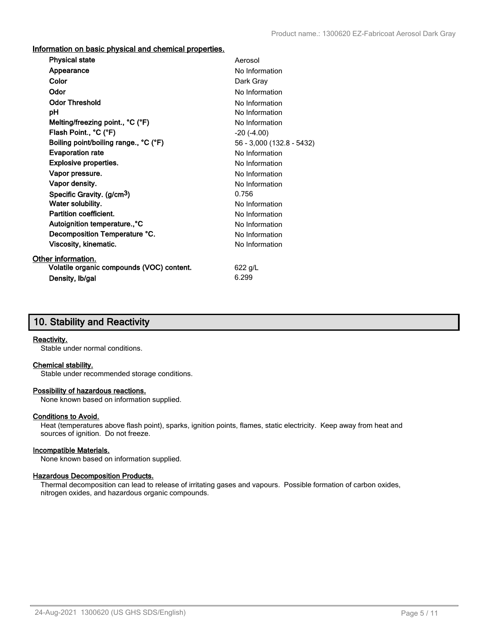**Information on basic physical and chemical properties.**

| <b>Physical state</b>                     | Aerosol                   |
|-------------------------------------------|---------------------------|
| Appearance                                | No Information            |
| Color                                     | Dark Gray                 |
| Odor                                      | No Information            |
| <b>Odor Threshold</b>                     | No Information            |
| рH                                        | No Information            |
| Melting/freezing point., °C (°F)          | No Information            |
| Flash Point., °C (°F)                     | $-20$ $(-4.00)$           |
| Boiling point/boiling range., °C (°F)     | 56 - 3,000 (132.8 - 5432) |
| <b>Evaporation rate</b>                   | No Information            |
| <b>Explosive properties.</b>              | No Information            |
| Vapor pressure.                           | No Information            |
| Vapor density.                            | No Information            |
| Specific Gravity. (g/cm <sup>3</sup> )    | 0.756                     |
| Water solubility.                         | No Information            |
| <b>Partition coefficient.</b>             | No Information            |
| Autoignition temperature., °C             | No Information            |
| Decomposition Temperature °C.             | No Information            |
| Viscosity, kinematic.                     | No Information            |
| Other information.                        |                           |
| Volatile organic compounds (VOC) content. | $622$ g/L                 |
| Density, Ib/gal                           | 6.299                     |

### **10. Stability and Reactivity**

#### **Reactivity.**

Stable under normal conditions.

#### **Chemical stability.**

Stable under recommended storage conditions.

#### **Possibility of hazardous reactions.**

None known based on information supplied.

#### **Conditions to Avoid.**

Heat (temperatures above flash point), sparks, ignition points, flames, static electricity. Keep away from heat and sources of ignition. Do not freeze.

#### **Incompatible Materials.**

None known based on information supplied.

#### **Hazardous Decomposition Products.**

Thermal decomposition can lead to release of irritating gases and vapours. Possible formation of carbon oxides, nitrogen oxides, and hazardous organic compounds.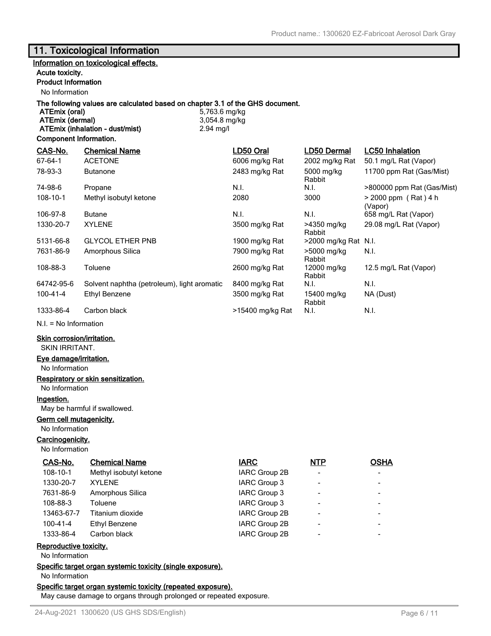### **11. Toxicological Information**

### **Information on toxicological effects.**

#### **Acute toxicity.**

### **Product Information**

No Information

# **The following values are calculated based on chapter 3.1 of the GHS document.**

**ATEmix (dermal)** 3,054.8 mg/kg **ATEmix (inhalation - dust/mist)** 2.94 mg/l

**ATEmix (oral)** 5,763.6 mg/kg

#### **Component Information.**

| CAS-No.        | <b>Chemical Name</b>                        | LD50 Oral        | LD50 Dermal           | <b>LC50 Inhalation</b>            |
|----------------|---------------------------------------------|------------------|-----------------------|-----------------------------------|
| $67 - 64 - 1$  | <b>ACETONE</b>                              | 6006 mg/kg Rat   | 2002 mg/kg Rat        | 50.1 mg/L Rat (Vapor)             |
| 78-93-3        | <b>Butanone</b>                             | 2483 mg/kg Rat   | 5000 mg/kg<br>Rabbit  | 11700 ppm Rat (Gas/Mist)          |
| 74-98-6        | Propane                                     | N.I.             | N.I.                  | >800000 ppm Rat (Gas/Mist)        |
| $108 - 10 - 1$ | Methyl isobutyl ketone                      | 2080             | 3000                  | $> 2000$ ppm (Rat) 4 h<br>(Vapor) |
| 106-97-8       | <b>Butane</b>                               | N.I.             | N.I.                  | 658 mg/L Rat (Vapor)              |
| 1330-20-7      | <b>XYLENE</b>                               | 3500 mg/kg Rat   | >4350 mg/kg<br>Rabbit | 29.08 mg/L Rat (Vapor)            |
| 5131-66-8      | <b>GLYCOL ETHER PNB</b>                     | 1900 mg/kg Rat   | >2000 mg/kg Rat N.I.  |                                   |
| 7631-86-9      | Amorphous Silica                            | 7900 mg/kg Rat   | >5000 mg/kg<br>Rabbit | N.I.                              |
| 108-88-3       | Toluene                                     | 2600 mg/kg Rat   | 12000 mg/kg<br>Rabbit | 12.5 mg/L Rat (Vapor)             |
| 64742-95-6     | Solvent naphtha (petroleum), light aromatic | 8400 mg/kg Rat   | N.I.                  | N.I.                              |
| 100-41-4       | Ethyl Benzene                               | 3500 mg/kg Rat   | 15400 mg/kg<br>Rabbit | NA (Dust)                         |
| 1333-86-4      | Carbon black                                | >15400 mg/kg Rat | N.I.                  | N.I.                              |

N.I. = No Information

#### **Skin corrosion/irritation.**

SKIN IRRITANT.

#### **Eye damage/irritation.**

No Information

#### **Respiratory or skin sensitization.**

No Information

#### **Ingestion.**

May be harmful if swallowed.

#### **Germ cell mutagenicity.**

No Information

### **Carcinogenicity.**

No Information

| CAS-No.        | <b>Chemical Name</b>   | <b>IARC</b>         | NTP                      | <b>OSHA</b> |
|----------------|------------------------|---------------------|--------------------------|-------------|
| $108 - 10 - 1$ | Methyl isobutyl ketone | IARC Group 2B       | $\overline{\phantom{a}}$ | -           |
| 1330-20-7      | <b>XYLENE</b>          | IARC Group 3        | $\overline{\phantom{a}}$ |             |
| 7631-86-9      | Amorphous Silica       | <b>IARC Group 3</b> | $\overline{\phantom{a}}$ |             |
| 108-88-3       | Toluene                | IARC Group 3        | $\overline{\phantom{a}}$ |             |
| 13463-67-7     | Titanium dioxide       | IARC Group 2B       | $\overline{\phantom{0}}$ | $\,$        |
| $100 - 41 - 4$ | Ethyl Benzene          | IARC Group 2B       | $\overline{\phantom{a}}$ |             |
| 1333-86-4      | Carbon black           | IARC Group 2B       | $\overline{\phantom{a}}$ |             |

#### **Reproductive toxicity.**

No Information

**Specific target organ systemic toxicity (single exposure).**

No Information

#### **Specific target organ systemic toxicity (repeated exposure).**

May cause damage to organs through prolonged or repeated exposure.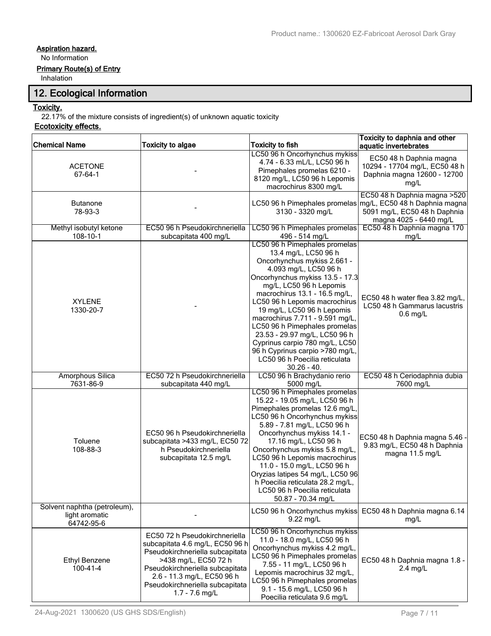### **Aspiration hazard.**

No Information

### **Primary Route(s) of Entry**

Inhalation

### **12. Ecological Information**

### **Toxicity.**

22.17% of the mixture consists of ingredient(s) of unknown aquatic toxicity

### **Ecotoxicity effects.**

| <b>Chemical Name</b>                                         | <b>Toxicity to algae</b>                                                                                                                                                                                                                            | <b>Toxicity to fish</b>                                                                                                                                                                                                                                                                                                                                                                                                                                                                                 | Toxicity to daphnia and other<br>aquatic invertebrates                                                                   |
|--------------------------------------------------------------|-----------------------------------------------------------------------------------------------------------------------------------------------------------------------------------------------------------------------------------------------------|---------------------------------------------------------------------------------------------------------------------------------------------------------------------------------------------------------------------------------------------------------------------------------------------------------------------------------------------------------------------------------------------------------------------------------------------------------------------------------------------------------|--------------------------------------------------------------------------------------------------------------------------|
| <b>ACETONE</b><br>$67 - 64 - 1$                              |                                                                                                                                                                                                                                                     | LC50 96 h Oncorhynchus mykiss<br>4.74 - 6.33 mL/L, LC50 96 h<br>Pimephales promelas 6210 -<br>8120 mg/L, LC50 96 h Lepomis<br>macrochirus 8300 mg/L                                                                                                                                                                                                                                                                                                                                                     | EC50 48 h Daphnia magna<br>10294 - 17704 mg/L, EC50 48 h<br>Daphnia magna 12600 - 12700<br>mg/L                          |
| <b>Butanone</b><br>78-93-3                                   |                                                                                                                                                                                                                                                     | LC50 96 h Pimephales promelas<br>3130 - 3320 mg/L                                                                                                                                                                                                                                                                                                                                                                                                                                                       | EC50 48 h Daphnia magna > 520<br>mg/L, EC50 48 h Daphnia magna<br>5091 mg/L, EC50 48 h Daphnia<br>magna 4025 - 6440 mg/L |
| Methyl isobutyl ketone<br>108-10-1                           | EC50 96 h Pseudokirchneriella<br>subcapitata 400 mg/L                                                                                                                                                                                               | LC50 96 h Pimephales promelas<br>496 - 514 mg/L                                                                                                                                                                                                                                                                                                                                                                                                                                                         | EC50 48 h Daphnia magna 170<br>mg/L                                                                                      |
| <b>XYLENE</b><br>1330-20-7                                   |                                                                                                                                                                                                                                                     | LC50 96 h Pimephales promelas<br>13.4 mg/L, LC50 96 h<br>Oncorhynchus mykiss 2.661 -<br>4.093 mg/L, LC50 96 h<br>Oncorhynchus mykiss 13.5 - 17.3<br>mg/L, LC50 96 h Lepomis<br>macrochirus 13.1 - 16.5 mg/L,<br>LC50 96 h Lepomis macrochirus<br>19 mg/L, LC50 96 h Lepomis<br>macrochirus 7.711 - 9.591 mg/L,<br>LC50 96 h Pimephales promelas<br>23.53 - 29.97 mg/L, LC50 96 h<br>Cyprinus carpio 780 mg/L, LC50<br>96 h Cyprinus carpio >780 mg/L,<br>LC50 96 h Poecilia reticulata<br>$30.26 - 40.$ | EC50 48 h water flea 3.82 mg/L,<br>LC50 48 h Gammarus lacustris<br>$0.6$ mg/L                                            |
| <b>Amorphous Silica</b><br>7631-86-9                         | EC50 72 h Pseudokirchneriella<br>subcapitata 440 mg/L                                                                                                                                                                                               | LC50 96 h Brachydanio rerio<br>5000 mg/L                                                                                                                                                                                                                                                                                                                                                                                                                                                                | EC50 48 h Ceriodaphnia dubia<br>7600 mg/L                                                                                |
| Toluene<br>108-88-3                                          | EC50 96 h Pseudokirchneriella<br>subcapitata >433 mg/L, EC50 72<br>h Pseudokirchneriella<br>subcapitata 12.5 mg/L                                                                                                                                   | LC50 96 h Pimephales promelas<br>15.22 - 19.05 mg/L, LC50 96 h<br>Pimephales promelas 12.6 mg/L,<br>LC50 96 h Oncorhynchus mykiss<br>5.89 - 7.81 mg/L, LC50 96 h<br>Oncorhynchus mykiss 14.1 -<br>17.16 mg/L, LC50 96 h<br>Oncorhynchus mykiss 5.8 mg/L,<br>LC50 96 h Lepomis macrochirus<br>11.0 - 15.0 mg/L, LC50 96 h<br>Oryzias latipes 54 mg/L, LC50 96<br>h Poecilia reticulata 28.2 mg/L,<br>LC50 96 h Poecilia reticulata<br>50.87 - 70.34 mg/L                                                 | EC50 48 h Daphnia magna 5.46 -<br>9.83 mg/L, EC50 48 h Daphnia<br>magna 11.5 mg/L                                        |
| Solvent naphtha (petroleum),<br>light aromatic<br>64742-95-6 |                                                                                                                                                                                                                                                     | LC50 96 h Oncorhynchus mykiss<br>$9.22$ mg/L                                                                                                                                                                                                                                                                                                                                                                                                                                                            | EC50 48 h Daphnia magna 6.14<br>mg/L                                                                                     |
| <b>Ethyl Benzene</b><br>$100 - 41 - 4$                       | EC50 72 h Pseudokirchneriella<br>subcapitata 4.6 mg/L, EC50 96 h<br>Pseudokirchneriella subcapitata<br>>438 mg/L, EC50 72 h<br>Pseudokirchneriella subcapitata<br>2.6 - 11.3 mg/L, EC50 96 h<br>Pseudokirchneriella subcapitata<br>$1.7 - 7.6$ mg/L | LC50 96 h Oncorhynchus mykiss<br>11.0 - 18.0 mg/L, LC50 96 h<br>Oncorhynchus mykiss 4.2 mg/L,<br>LC50 96 h Pimephales promelas<br>7.55 - 11 mg/L, LC50 96 h<br>Lepomis macrochirus 32 mg/L,<br>LC50 96 h Pimephales promelas<br>9.1 - 15.6 mg/L, LC50 96 h<br>Poecilia reticulata 9.6 mg/L                                                                                                                                                                                                              | EC50 48 h Daphnia magna 1.8 -<br>$2.4$ mg/L                                                                              |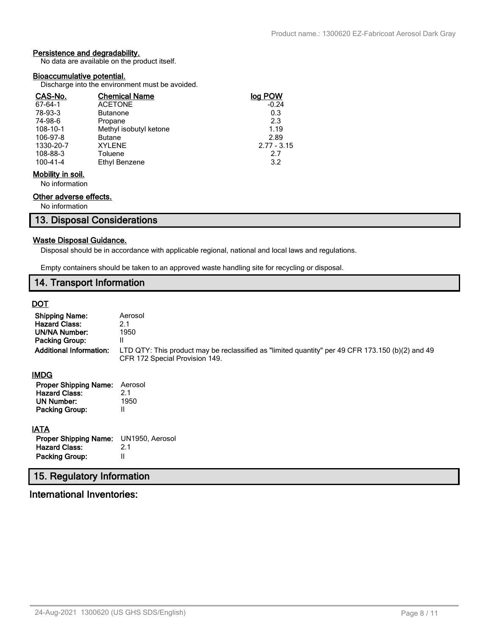### **Persistence and degradability.**

No data are available on the product itself.

#### **Bioaccumulative potential.**

Discharge into the environment must be avoided.

| CAS-No.           | <b>Chemical Name</b>   | log POW       |
|-------------------|------------------------|---------------|
| $67 - 64 - 1$     | <b>ACETONE</b>         | $-0.24$       |
| 78-93-3           | <b>Butanone</b>        | 0.3           |
| 74-98-6           | Propane                | 2.3           |
| 108-10-1          | Methyl isobutyl ketone | 1.19          |
| 106-97-8          | <b>Butane</b>          | 2.89          |
| 1330-20-7         | <b>XYLENE</b>          | $2.77 - 3.15$ |
| 108-88-3          | Toluene                | 2.7           |
| 100-41-4          | Ethyl Benzene          | 3.2           |
| Mobility in soil. |                        |               |

No information

### **Other adverse effects.**

No information

### **13. Disposal Considerations**

#### **Waste Disposal Guidance.**

Disposal should be in accordance with applicable regional, national and local laws and regulations.

Empty containers should be taken to an approved waste handling site for recycling or disposal.

### **14. Transport Information**

### **DOT**

| <b>Shipping Name:</b><br><b>Hazard Class:</b><br>UN/NA Number:<br>Packing Group:<br><b>Additional Information:</b> | Aerosol<br>2.1<br>1950<br>II<br>LTD QTY: This product may be reclassified as "limited quantity" per 49 CFR 173.150 (b)(2) and 49<br>CFR 172 Special Provision 149. |
|--------------------------------------------------------------------------------------------------------------------|--------------------------------------------------------------------------------------------------------------------------------------------------------------------|
| IMDG                                                                                                               |                                                                                                                                                                    |
| <b>Proper Shipping Name:</b><br><b>Hazard Class:</b><br><b>UN Number:</b><br><b>Packing Group:</b>                 | Aerosol<br>2.1<br>1950<br>Ш                                                                                                                                        |
| <b>IATA</b>                                                                                                        |                                                                                                                                                                    |
| <b>Proper Shipping Name:</b>                                                                                       | UN1950, Aerosol                                                                                                                                                    |
| <b>Hazard Class:</b>                                                                                               | 2.1                                                                                                                                                                |
| <b>Packing Group:</b>                                                                                              | Ш                                                                                                                                                                  |
| 15. Regulatory Information                                                                                         |                                                                                                                                                                    |

# **International Inventories:**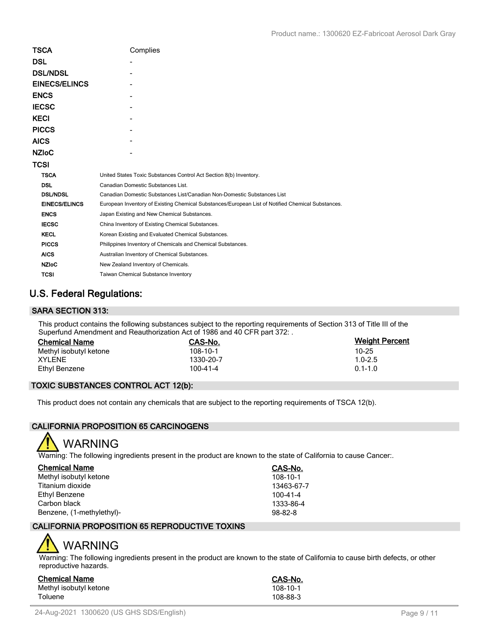| <b>TSCA</b>          | Complies                                                                                          |
|----------------------|---------------------------------------------------------------------------------------------------|
| <b>DSL</b>           |                                                                                                   |
| <b>DSL/NDSL</b>      |                                                                                                   |
| <b>EINECS/ELINCS</b> |                                                                                                   |
| <b>ENCS</b>          |                                                                                                   |
| <b>IECSC</b>         |                                                                                                   |
| <b>KECI</b>          |                                                                                                   |
| <b>PICCS</b>         |                                                                                                   |
| <b>AICS</b>          |                                                                                                   |
| <b>NZIOC</b>         |                                                                                                   |
| <b>TCSI</b>          |                                                                                                   |
| <b>TSCA</b>          | United States Toxic Substances Control Act Section 8(b) Inventory.                                |
| <b>DSL</b>           | Canadian Domestic Substances List.                                                                |
| <b>DSL/NDSL</b>      | Canadian Domestic Substances List/Canadian Non-Domestic Substances List                           |
| <b>EINECS/ELINCS</b> | European Inventory of Existing Chemical Substances/European List of Notified Chemical Substances. |
| <b>ENCS</b>          | Japan Existing and New Chemical Substances.                                                       |
| <b>IECSC</b>         | China Inventory of Existing Chemical Substances.                                                  |
| <b>KECL</b>          | Korean Existing and Evaluated Chemical Substances.                                                |
| <b>PICCS</b>         | Philippines Inventory of Chemicals and Chemical Substances.                                       |
| <b>AICS</b>          | Australian Inventory of Chemical Substances.                                                      |
| <b>NZIoC</b>         | New Zealand Inventory of Chemicals.                                                               |
| <b>TCSI</b>          | Taiwan Chemical Substance Inventory                                                               |

## **U.S. Federal Regulations:**

### **SARA SECTION 313:**

This product contains the following substances subject to the reporting requirements of Section 313 of Title III of the Superfund Amendment and Reauthorization Act of 1986 and 40 CFR part 372: .

| <b>Chemical Name</b>   | CAS-No.   | <b>Weight Percent</b> |
|------------------------|-----------|-----------------------|
| Methyl isobutyl ketone | 108-10-1  | 10-25                 |
| XYLENE                 | 1330-20-7 | $1.0 - 2.5$           |
| Ethyl Benzene          | 100-41-4  | $0.1 - 1.0$           |

### **TOXIC SUBSTANCES CONTROL ACT 12(b):**

This product does not contain any chemicals that are subject to the reporting requirements of TSCA 12(b).

### **CALIFORNIA PROPOSITION 65 CARCINOGENS**



Warning: The following ingredients present in the product are known to the state of California to cause Cancer:.

| <b>Chemical Name</b>      | CAS-No.        |
|---------------------------|----------------|
| Methyl isobutyl ketone    | $108 - 10 - 1$ |
| Titanium dioxide          | 13463-67-7     |
| Ethyl Benzene             | $100 - 41 - 4$ |
| Carbon black              | 1333-86-4      |
| Benzene, (1-methylethyl)- | $98 - 82 - 8$  |

### **CALIFORNIA PROPOSITION 65 REPRODUCTIVE TOXINS**

# WARNING

Warning: The following ingredients present in the product are known to the state of California to cause birth defects, or other reproductive hazards.

| Chemical Name          | <b>CAS-No.</b> |
|------------------------|----------------|
| Methyl isobutyl ketone | 108-10-1       |
| Toluene                | 108-88-3       |